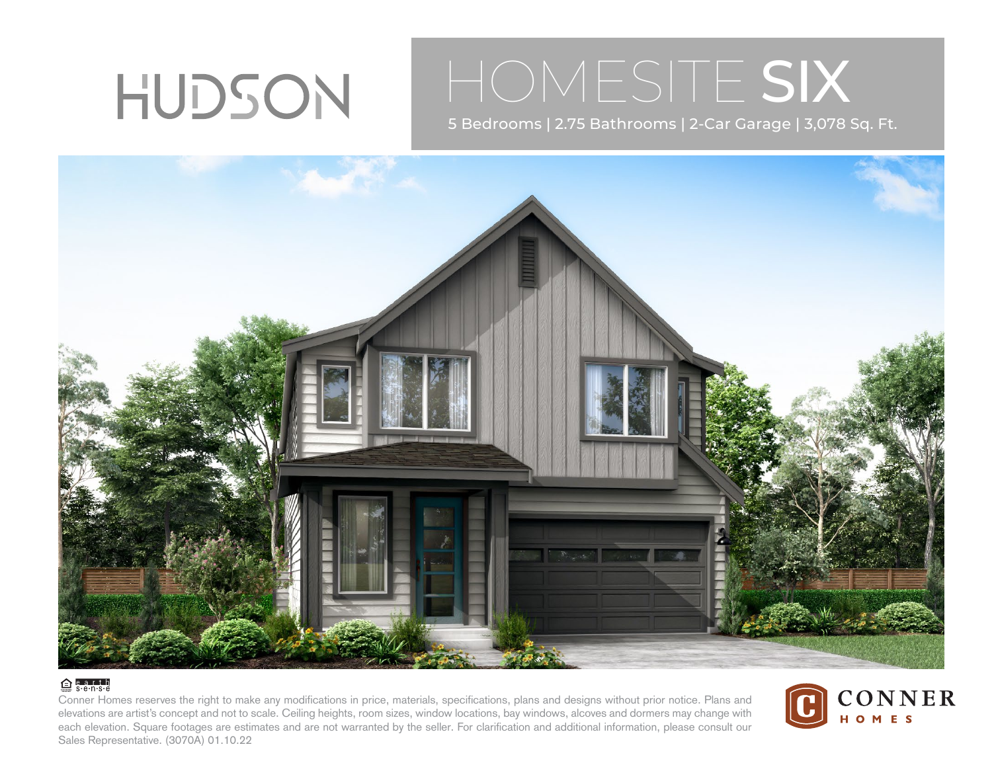# HUDSON

## HOMESITE SIX

5 Bedrooms | 2.75 Bathrooms | 2-Car Garage | 3,078 Sq. Ft.



#### $\bigoplus$  e.a.r.t.h

Conner Homes reserves the right to make any modifications in price, materials, specifications, plans and designs without prior notice. Plans and elevations are artist's concept and not to scale. Ceiling heights, room sizes, window locations, bay windows, alcoves and dormers may change with each elevation. Square footages are estimates and are not warranted by the seller. For clarification and additional information, please consult our Sales Representative. (3070A) 01.10.22